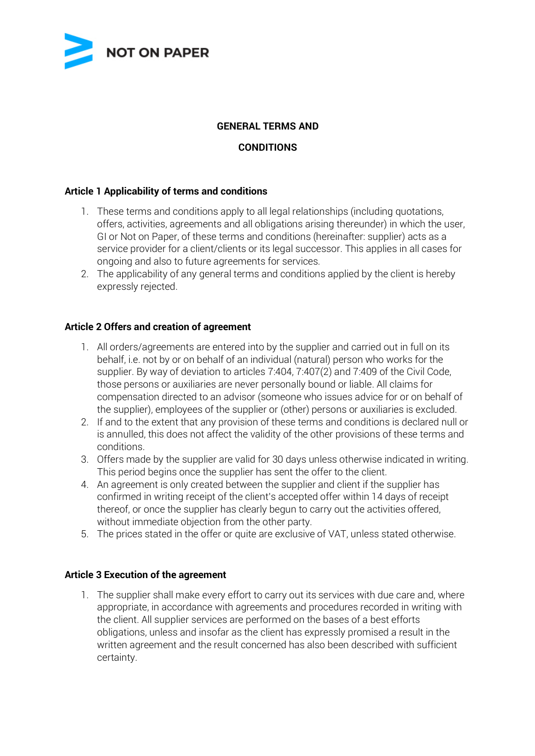

# **GENERAL TERMS AND**

# **CONDITIONS**

### **Article 1 Applicability of terms and conditions**

- 1. These terms and conditions apply to all legal relationships (including quotations, offers, activities, agreements and all obligations arising thereunder) in which the user, GI or Not on Paper, of these terms and conditions (hereinafter: supplier) acts as a service provider for a client/clients or its legal successor. This applies in all cases for ongoing and also to future agreements for services.
- 2. The applicability of any general terms and conditions applied by the client is hereby expressly rejected.

### **Article 2 Offers and creation of agreement**

- 1. All orders/agreements are entered into by the supplier and carried out in full on its behalf, i.e. not by or on behalf of an individual (natural) person who works for the supplier. By way of deviation to articles 7:404, 7:407(2) and 7:409 of the Civil Code, those persons or auxiliaries are never personally bound or liable. All claims for compensation directed to an advisor (someone who issues advice for or on behalf of the supplier), employees of the supplier or (other) persons or auxiliaries is excluded.
- 2. If and to the extent that any provision of these terms and conditions is declared null or is annulled, this does not affect the validity of the other provisions of these terms and conditions.
- 3. Offers made by the supplier are valid for 30 days unless otherwise indicated in writing. This period begins once the supplier has sent the offer to the client.
- 4. An agreement is only created between the supplier and client if the supplier has confirmed in writing receipt of the client's accepted offer within 14 days of receipt thereof, or once the supplier has clearly begun to carry out the activities offered, without immediate objection from the other party.
- 5. The prices stated in the offer or quite are exclusive of VAT, unless stated otherwise.

#### **Article 3 Execution of the agreement**

1. The supplier shall make every effort to carry out its services with due care and, where appropriate, in accordance with agreements and procedures recorded in writing with the client. All supplier services are performed on the bases of a best efforts obligations, unless and insofar as the client has expressly promised a result in the written agreement and the result concerned has also been described with sufficient certainty.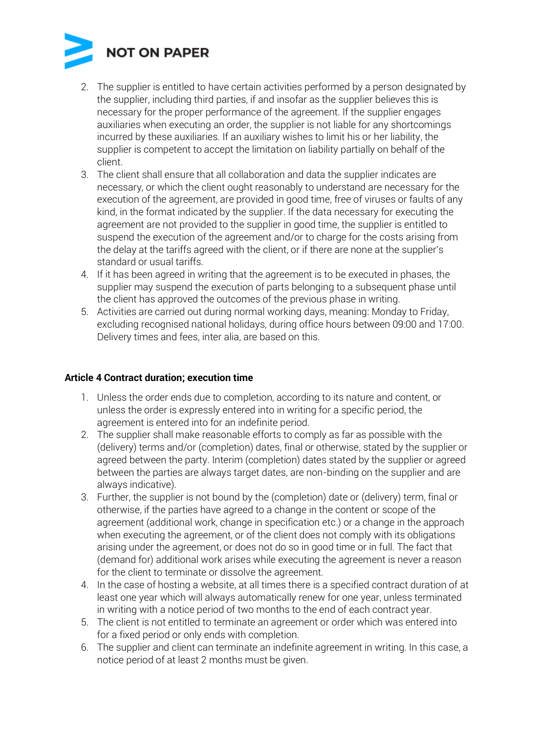

- 2. The supplier is entitled to have certain activities performed by a person designated by the supplier, including third parties, if and insofar as the supplier believes this is necessary for the proper performance of the agreement. If the supplier engages auxiliaries when executing an order, the supplier is not liable for any shortcomings incurred by these auxiliaries. If an auxiliary wishes to limit his or her liability, the supplier is competent to accept the limitation on liability partially on behalf of the client.
- 3. The client shall ensure that all collaboration and data the supplier indicates are necessary, or which the client ought reasonably to understand are necessary for the execution of the agreement, are provided in good time, free of viruses or faults of any kind, in the format indicated by the supplier. If the data necessary for executing the agreement are not provided to the supplier in good time, the supplier is entitled to suspend the execution of the agreement and/or to charge for the costs arising from the delay at the tariffs agreed with the client, or if there are none at the supplier's standard or usual tariffs.
- 4. If it has been agreed in writing that the agreement is to be executed in phases, the supplier may suspend the execution of parts belonging to a subsequent phase until the client has approved the outcomes of the previous phase in writing.
- 5. Activities are carried out during normal working days, meaning: Monday to Friday, excluding recognised national holidays, during office hours between 09:00 and 17:00. Delivery times and fees, inter alia, are based on this.

### **Article 4 Contract duration; execution time**

- 1. Unless the order ends due to completion, according to its nature and content, or unless the order is expressly entered into in writing for a specific period, the agreement is entered into for an indefinite period.
- 2. The supplier shall make reasonable efforts to comply as far as possible with the (delivery) terms and/or (completion) dates, final or otherwise, stated by the supplier or agreed between the party. Interim (completion) dates stated by the supplier or agreed between the parties are always target dates, are non-binding on the supplier and are always indicative).
- 3. Further, the supplier is not bound by the (completion) date or (delivery) term, final or otherwise, if the parties have agreed to a change in the content or scope of the agreement (additional work, change in specification etc.) or a change in the approach when executing the agreement, or of the client does not comply with its obligations arising under the agreement, or does not do so in good time or in full. The fact that (demand for) additional work arises while executing the agreement is never a reason for the client to terminate or dissolve the agreement.
- 4. In the case of hosting a website, at all times there is a specified contract duration of at least one year which will always automatically renew for one year, unless terminated in writing with a notice period of two months to the end of each contract year.
- 5. The client is not entitled to terminate an agreement or order which was entered into for a fixed period or only ends with completion.
- 6. The supplier and client can terminate an indefinite agreement in writing. In this case, a notice period of at least 2 months must be given.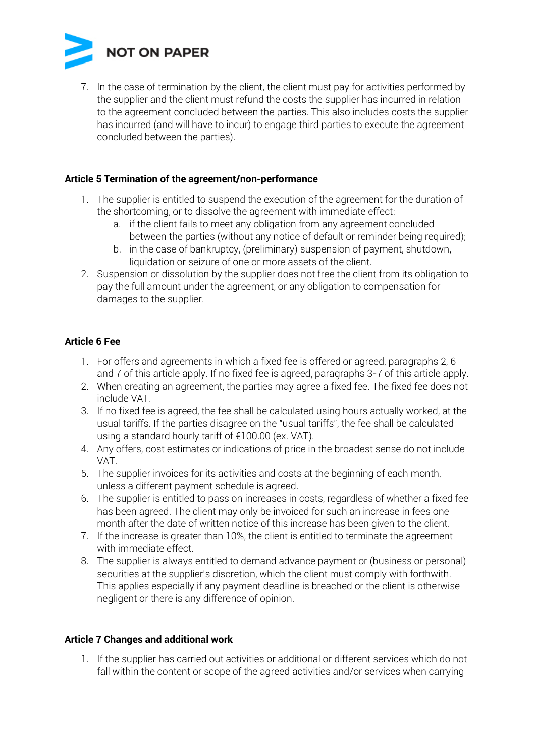

7. In the case of termination by the client, the client must pay for activities performed by the supplier and the client must refund the costs the supplier has incurred in relation to the agreement concluded between the parties. This also includes costs the supplier has incurred (and will have to incur) to engage third parties to execute the agreement concluded between the parties).

### **Article 5 Termination of the agreement/non-performance**

- 1. The supplier is entitled to suspend the execution of the agreement for the duration of the shortcoming, or to dissolve the agreement with immediate effect:
	- a. if the client fails to meet any obligation from any agreement concluded between the parties (without any notice of default or reminder being required);
	- b. in the case of bankruptcy, (preliminary) suspension of payment, shutdown, liquidation or seizure of one or more assets of the client.
- 2. Suspension or dissolution by the supplier does not free the client from its obligation to pay the full amount under the agreement, or any obligation to compensation for damages to the supplier.

# **Article 6 Fee**

- 1. For offers and agreements in which a fixed fee is offered or agreed, paragraphs 2, 6 and 7 of this article apply. If no fixed fee is agreed, paragraphs 3-7 of this article apply.
- 2. When creating an agreement, the parties may agree a fixed fee. The fixed fee does not include VAT.
- 3. If no fixed fee is agreed, the fee shall be calculated using hours actually worked, at the usual tariffs. If the parties disagree on the "usual tariffs", the fee shall be calculated using a standard hourly tariff of €100.00 (ex. VAT).
- 4. Any offers, cost estimates or indications of price in the broadest sense do not include VAT.
- 5. The supplier invoices for its activities and costs at the beginning of each month, unless a different payment schedule is agreed.
- 6. The supplier is entitled to pass on increases in costs, regardless of whether a fixed fee has been agreed. The client may only be invoiced for such an increase in fees one month after the date of written notice of this increase has been given to the client.
- 7. If the increase is greater than 10%, the client is entitled to terminate the agreement with immediate effect.
- 8. The supplier is always entitled to demand advance payment or (business or personal) securities at the supplier's discretion, which the client must comply with forthwith. This applies especially if any payment deadline is breached or the client is otherwise negligent or there is any difference of opinion.

#### **Article 7 Changes and additional work**

1. If the supplier has carried out activities or additional or different services which do not fall within the content or scope of the agreed activities and/or services when carrying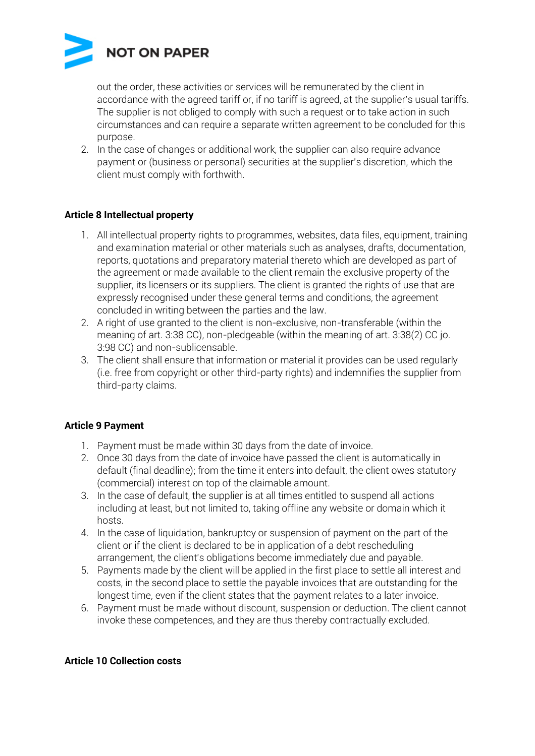

out the order, these activities or services will be remunerated by the client in accordance with the agreed tariff or, if no tariff is agreed, at the supplier's usual tariffs. The supplier is not obliged to comply with such a request or to take action in such circumstances and can require a separate written agreement to be concluded for this purpose.

2. In the case of changes or additional work, the supplier can also require advance payment or (business or personal) securities at the supplier's discretion, which the client must comply with forthwith.

# **Article 8 Intellectual property**

- 1. All intellectual property rights to programmes, websites, data files, equipment, training and examination material or other materials such as analyses, drafts, documentation, reports, quotations and preparatory material thereto which are developed as part of the agreement or made available to the client remain the exclusive property of the supplier, its licensers or its suppliers. The client is granted the rights of use that are expressly recognised under these general terms and conditions, the agreement concluded in writing between the parties and the law.
- 2. A right of use granted to the client is non-exclusive, non-transferable (within the meaning of art. 3:38 CC), non-pledgeable (within the meaning of art. 3:38(2) CC jo. 3:98 CC) and non-sublicensable.
- 3. The client shall ensure that information or material it provides can be used regularly (i.e. free from copyright or other third-party rights) and indemnifies the supplier from third-party claims.

# **Article 9 Payment**

- 1. Payment must be made within 30 days from the date of invoice.
- 2. Once 30 days from the date of invoice have passed the client is automatically in default (final deadline); from the time it enters into default, the client owes statutory (commercial) interest on top of the claimable amount.
- 3. In the case of default, the supplier is at all times entitled to suspend all actions including at least, but not limited to, taking offline any website or domain which it hosts.
- 4. In the case of liquidation, bankruptcy or suspension of payment on the part of the client or if the client is declared to be in application of a debt rescheduling arrangement, the client's obligations become immediately due and payable.
- 5. Payments made by the client will be applied in the first place to settle all interest and costs, in the second place to settle the payable invoices that are outstanding for the longest time, even if the client states that the payment relates to a later invoice.
- 6. Payment must be made without discount, suspension or deduction. The client cannot invoke these competences, and they are thus thereby contractually excluded.

#### **Article 10 Collection costs**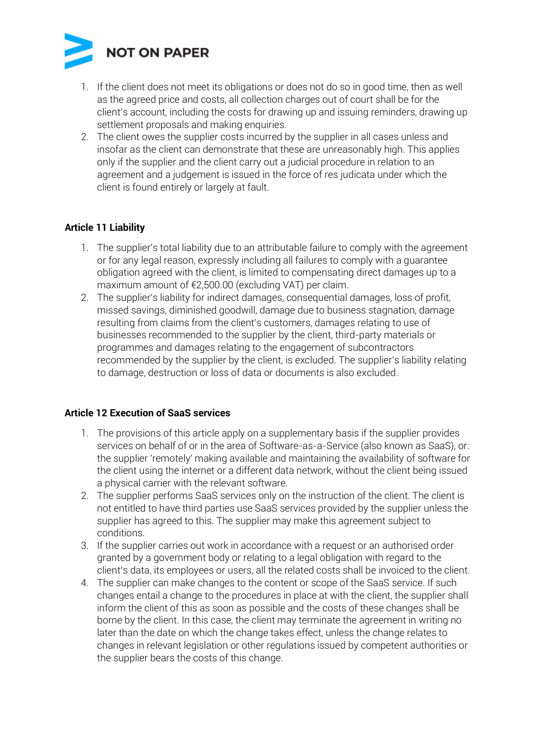

- 1. If the client does not meet its obligations or does not do so in good time, then as well as the agreed price and costs, all collection charges out of court shall be for the client's account, including the costs for drawing up and issuing reminders, drawing up settlement proposals and making enquiries.
- 2. The client owes the supplier costs incurred by the supplier in all cases unless and insofar as the client can demonstrate that these are unreasonably high. This applies only if the supplier and the client carry out a judicial procedure in relation to an agreement and a judgement is issued in the force of res judicata under which the client is found entirely or largely at fault.

# **Article 11 Liability**

- 1. The supplier's total liability due to an attributable failure to comply with the agreement or for any legal reason, expressly including all failures to comply with a guarantee obligation agreed with the client, is limited to compensating direct damages up to a maximum amount of €2,500.00 (excluding VAT) per claim.
- 2. The supplier's liability for indirect damages, consequential damages, loss of profit, missed savings, diminished goodwill, damage due to business stagnation, damage resulting from claims from the client's customers, damages relating to use of businesses recommended to the supplier by the client, third-party materials or programmes and damages relating to the engagement of subcontractors recommended by the supplier by the client, is excluded. The supplier's liability relating to damage, destruction or loss of data or documents is also excluded.

#### **Article 12 Execution of SaaS services**

- 1. The provisions of this article apply on a supplementary basis if the supplier provides services on behalf of or in the area of Software-as-a-Service (also known as SaaS), or: the supplier 'remotely' making available and maintaining the availability of software for the client using the internet or a different data network, without the client being issued a physical carrier with the relevant software.
- 2. The supplier performs SaaS services only on the instruction of the client. The client is not entitled to have third parties use SaaS services provided by the supplier unless the supplier has agreed to this. The supplier may make this agreement subject to conditions.
- 3. If the supplier carries out work in accordance with a request or an authorised order granted by a government body or relating to a legal obligation with regard to the client's data, its employees or users, all the related costs shall be invoiced to the client.
- 4. The supplier can make changes to the content or scope of the SaaS service. If such changes entail a change to the procedures in place at with the client, the supplier shall inform the client of this as soon as possible and the costs of these changes shall be borne by the client. In this case, the client may terminate the agreement in writing no later than the date on which the change takes effect, unless the change relates to changes in relevant legislation or other regulations issued by competent authorities or the supplier bears the costs of this change.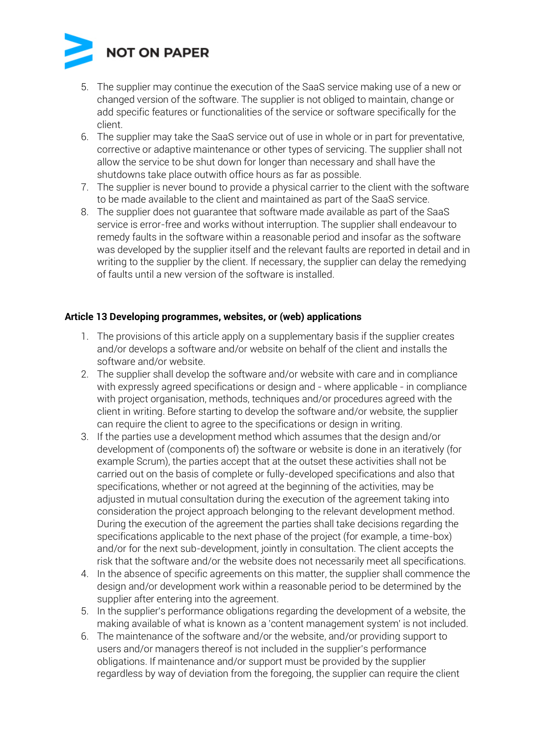

- 5. The supplier may continue the execution of the SaaS service making use of a new or changed version of the software. The supplier is not obliged to maintain, change or add specific features or functionalities of the service or software specifically for the client.
- 6. The supplier may take the SaaS service out of use in whole or in part for preventative, corrective or adaptive maintenance or other types of servicing. The supplier shall not allow the service to be shut down for longer than necessary and shall have the shutdowns take place outwith office hours as far as possible.
- 7. The supplier is never bound to provide a physical carrier to the client with the software to be made available to the client and maintained as part of the SaaS service.
- 8. The supplier does not guarantee that software made available as part of the SaaS service is error-free and works without interruption. The supplier shall endeavour to remedy faults in the software within a reasonable period and insofar as the software was developed by the supplier itself and the relevant faults are reported in detail and in writing to the supplier by the client. If necessary, the supplier can delay the remedying of faults until a new version of the software is installed.

### **Article 13 Developing programmes, websites, or (web) applications**

- 1. The provisions of this article apply on a supplementary basis if the supplier creates and/or develops a software and/or website on behalf of the client and installs the software and/or website.
- 2. The supplier shall develop the software and/or website with care and in compliance with expressly agreed specifications or design and - where applicable - in compliance with project organisation, methods, techniques and/or procedures agreed with the client in writing. Before starting to develop the software and/or website, the supplier can require the client to agree to the specifications or design in writing.
- 3. If the parties use a development method which assumes that the design and/or development of (components of) the software or website is done in an iteratively (for example Scrum), the parties accept that at the outset these activities shall not be carried out on the basis of complete or fully-developed specifications and also that specifications, whether or not agreed at the beginning of the activities, may be adjusted in mutual consultation during the execution of the agreement taking into consideration the project approach belonging to the relevant development method. During the execution of the agreement the parties shall take decisions regarding the specifications applicable to the next phase of the project (for example, a time-box) and/or for the next sub-development, jointly in consultation. The client accepts the risk that the software and/or the website does not necessarily meet all specifications.
- 4. In the absence of specific agreements on this matter, the supplier shall commence the design and/or development work within a reasonable period to be determined by the supplier after entering into the agreement.
- 5. In the supplier's performance obligations regarding the development of a website, the making available of what is known as a 'content management system' is not included.
- 6. The maintenance of the software and/or the website, and/or providing support to users and/or managers thereof is not included in the supplier's performance obligations. If maintenance and/or support must be provided by the supplier regardless by way of deviation from the foregoing, the supplier can require the client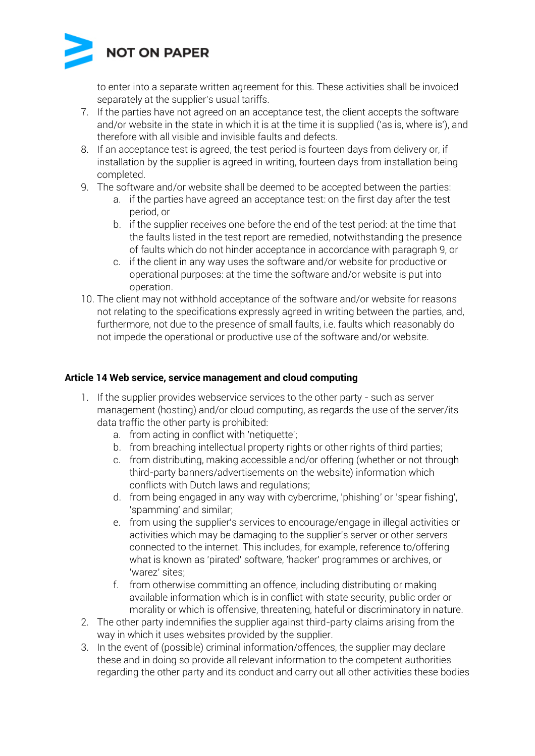

to enter into a separate written agreement for this. These activities shall be invoiced separately at the supplier's usual tariffs.

- 7. If the parties have not agreed on an acceptance test, the client accepts the software and/or website in the state in which it is at the time it is supplied ('as is, where is'), and therefore with all visible and invisible faults and defects.
- 8. If an acceptance test is agreed, the test period is fourteen days from delivery or, if installation by the supplier is agreed in writing, fourteen days from installation being completed.
- 9. The software and/or website shall be deemed to be accepted between the parties:
	- a. if the parties have agreed an acceptance test: on the first day after the test period, or
		- b. if the supplier receives one before the end of the test period: at the time that the faults listed in the test report are remedied, notwithstanding the presence of faults which do not hinder acceptance in accordance with paragraph 9, or
		- c. if the client in any way uses the software and/or website for productive or operational purposes: at the time the software and/or website is put into operation.
- 10. The client may not withhold acceptance of the software and/or website for reasons not relating to the specifications expressly agreed in writing between the parties, and, furthermore, not due to the presence of small faults, i.e. faults which reasonably do not impede the operational or productive use of the software and/or website.

# **Article 14 Web service, service management and cloud computing**

- 1. If the supplier provides webservice services to the other party such as server management (hosting) and/or cloud computing, as regards the use of the server/its data traffic the other party is prohibited:
	- a. from acting in conflict with 'netiquette';
	- b. from breaching intellectual property rights or other rights of third parties;
	- c. from distributing, making accessible and/or offering (whether or not through third-party banners/advertisements on the website) information which conflicts with Dutch laws and regulations;
	- d. from being engaged in any way with cybercrime, 'phishing' or 'spear fishing', 'spamming' and similar;
	- e. from using the supplier's services to encourage/engage in illegal activities or activities which may be damaging to the supplier's server or other servers connected to the internet. This includes, for example, reference to/offering what is known as 'pirated' software, 'hacker' programmes or archives, or 'warez' sites;
	- f. from otherwise committing an offence, including distributing or making available information which is in conflict with state security, public order or morality or which is offensive, threatening, hateful or discriminatory in nature.
- 2. The other party indemnifies the supplier against third-party claims arising from the way in which it uses websites provided by the supplier.
- 3. In the event of (possible) criminal information/offences, the supplier may declare these and in doing so provide all relevant information to the competent authorities regarding the other party and its conduct and carry out all other activities these bodies